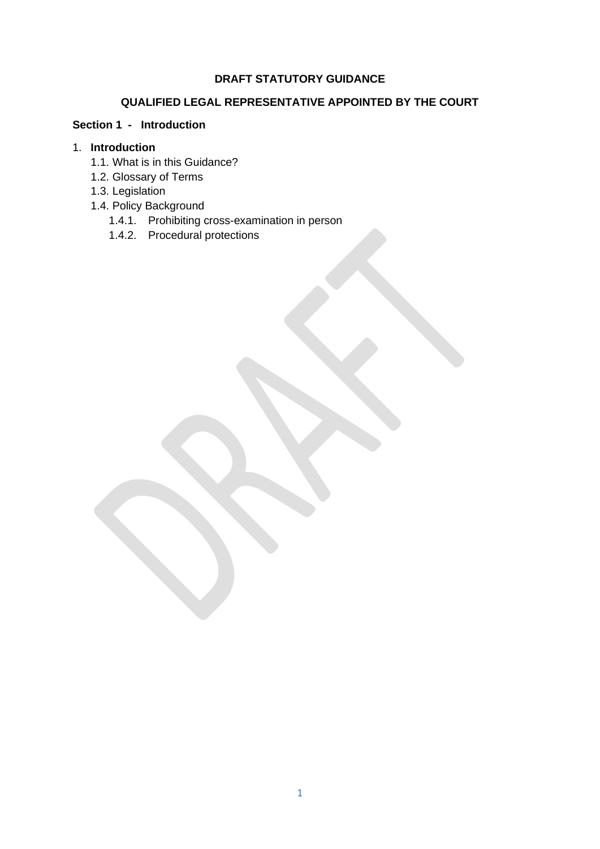#### **DRAFT STATUTORY GUIDANCE**

# **QUALIFIED LEGAL REPRESENTATIVE APPOINTED BY THE COURT**

### **Section 1 - Introduction**

### 1. **Introduction**

- 1.1. What is in this Guidance?
- 1.2. Glossary of Terms
- 1.3. Legislation
- 1.4. Policy Background
	- 1.4.1. Prohibiting cross-examination in person
	- 1.4.2. Procedural protections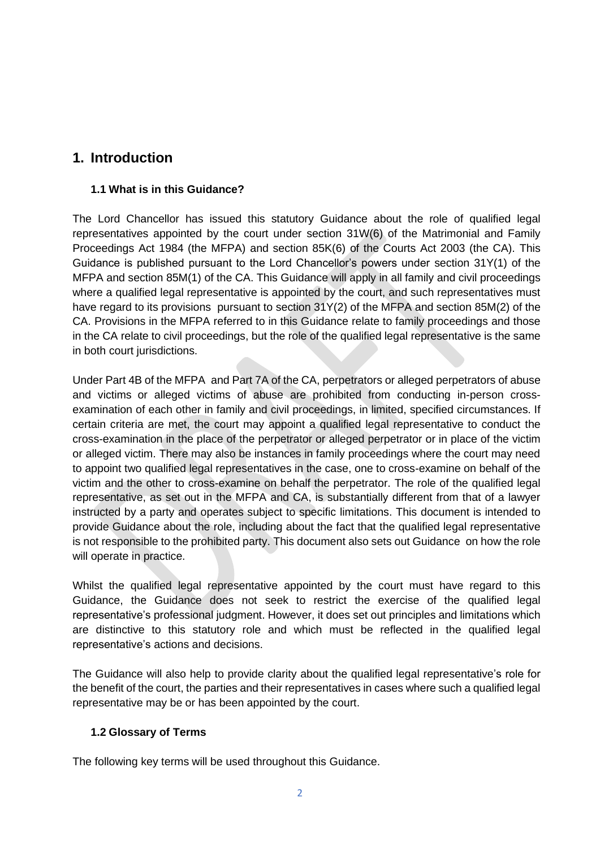# **1. Introduction**

#### **1.1 What is in this Guidance?**

The Lord Chancellor has issued this statutory Guidance about the role of qualified legal representatives appointed by the court under section 31W(6) of the Matrimonial and Family Proceedings Act 1984 (the MFPA) and section 85K(6) of the Courts Act 2003 (the CA). This Guidance is published pursuant to the Lord Chancellor's powers under section 31Y(1) of the MFPA and section 85M(1) of the CA. This Guidance will apply in all family and civil proceedings where a qualified legal representative is appointed by the court, and such representatives must have regard to its provisions pursuant to section 31Y(2) of the MFPA and section 85M(2) of the CA. Provisions in the MFPA referred to in this Guidance relate to family proceedings and those in the CA relate to civil proceedings, but the role of the qualified legal representative is the same in both court jurisdictions.

Under Part 4B of the MFPA and Part 7A of the CA, perpetrators or alleged perpetrators of abuse and victims or alleged victims of abuse are prohibited from conducting in-person crossexamination of each other in family and civil proceedings, in limited, specified circumstances. If certain criteria are met, the court may appoint a qualified legal representative to conduct the cross-examination in the place of the perpetrator or alleged perpetrator or in place of the victim or alleged victim. There may also be instances in family proceedings where the court may need to appoint two qualified legal representatives in the case, one to cross-examine on behalf of the victim and the other to cross-examine on behalf the perpetrator. The role of the qualified legal representative, as set out in the MFPA and CA, is substantially different from that of a lawyer instructed by a party and operates subject to specific limitations. This document is intended to provide Guidance about the role, including about the fact that the qualified legal representative is not responsible to the prohibited party. This document also sets out Guidance on how the role will operate in practice.

Whilst the qualified legal representative appointed by the court must have regard to this Guidance, the Guidance does not seek to restrict the exercise of the qualified legal representative's professional judgment. However, it does set out principles and limitations which are distinctive to this statutory role and which must be reflected in the qualified legal representative's actions and decisions.

The Guidance will also help to provide clarity about the qualified legal representative's role for the benefit of the court, the parties and their representatives in cases where such a qualified legal representative may be or has been appointed by the court.

### **1.2 Glossary of Terms**

The following key terms will be used throughout this Guidance.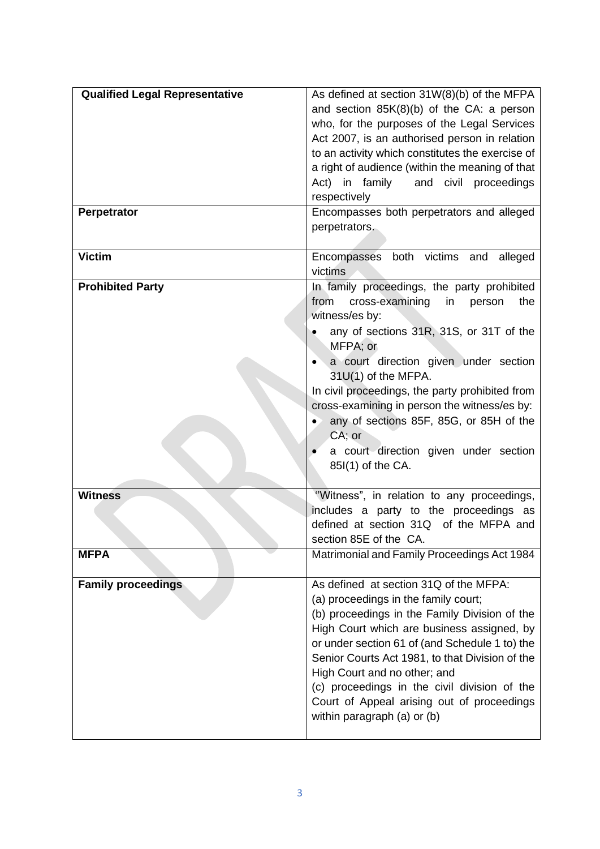| <b>Qualified Legal Representative</b> | As defined at section 31W(8)(b) of the MFPA<br>and section 85K(8)(b) of the CA: a person<br>who, for the purposes of the Legal Services<br>Act 2007, is an authorised person in relation<br>to an activity which constitutes the exercise of<br>a right of audience (within the meaning of that<br>in family<br>and civil proceedings<br>Act)<br>respectively                                                                                                   |
|---------------------------------------|-----------------------------------------------------------------------------------------------------------------------------------------------------------------------------------------------------------------------------------------------------------------------------------------------------------------------------------------------------------------------------------------------------------------------------------------------------------------|
| Perpetrator                           | Encompasses both perpetrators and alleged<br>perpetrators.                                                                                                                                                                                                                                                                                                                                                                                                      |
| <b>Victim</b>                         | Encompasses both victims and alleged<br>victims                                                                                                                                                                                                                                                                                                                                                                                                                 |
| <b>Prohibited Party</b>               | In family proceedings, the party prohibited<br>from<br>cross-examining<br>in<br>the<br>person<br>witness/es by:<br>any of sections 31R, 31S, or 31T of the<br>MFPA; or<br>a court direction given under section<br>31U(1) of the MFPA.<br>In civil proceedings, the party prohibited from<br>cross-examining in person the witness/es by:<br>any of sections 85F, 85G, or 85H of the<br>$CA$ ; or<br>a court direction given under section<br>85I(1) of the CA. |
| <b>Witness</b>                        | "Witness", in relation to any proceedings,<br>includes a party to the proceedings as<br>defined at section 31Q of the MFPA and<br>section 85E of the CA.                                                                                                                                                                                                                                                                                                        |
| <b>MFPA</b>                           | Matrimonial and Family Proceedings Act 1984                                                                                                                                                                                                                                                                                                                                                                                                                     |
| <b>Family proceedings</b>             | As defined at section 31Q of the MFPA:<br>(a) proceedings in the family court;<br>(b) proceedings in the Family Division of the<br>High Court which are business assigned, by<br>or under section 61 of (and Schedule 1 to) the<br>Senior Courts Act 1981, to that Division of the<br>High Court and no other; and<br>(c) proceedings in the civil division of the<br>Court of Appeal arising out of proceedings<br>within paragraph (a) or (b)                 |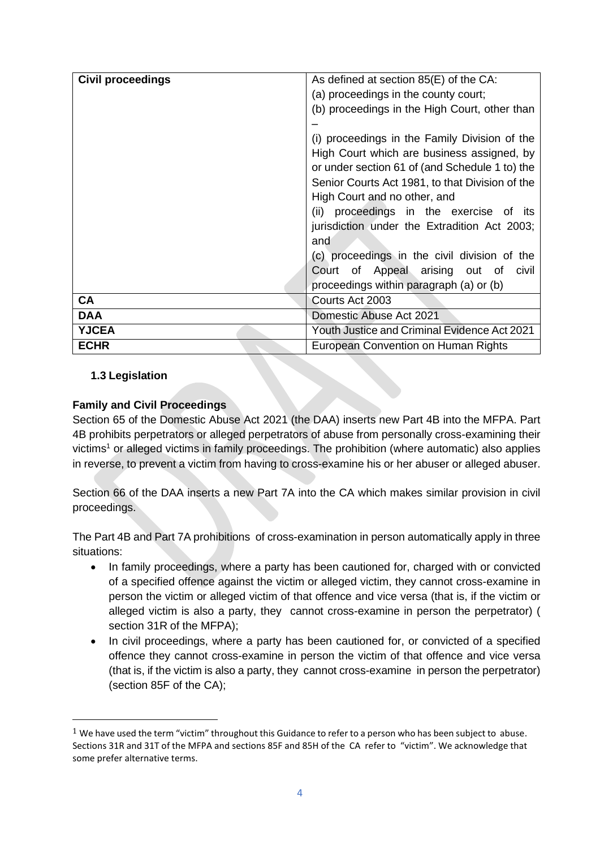| <b>Civil proceedings</b> | As defined at section 85(E) of the CA:              |
|--------------------------|-----------------------------------------------------|
|                          | (a) proceedings in the county court;                |
|                          | (b) proceedings in the High Court, other than       |
|                          |                                                     |
|                          | (i) proceedings in the Family Division of the       |
|                          | High Court which are business assigned, by          |
|                          | or under section 61 of (and Schedule 1 to) the      |
|                          | Senior Courts Act 1981, to that Division of the     |
|                          | High Court and no other, and                        |
|                          | (ii) proceedings in the exercise of its             |
|                          | jurisdiction under the Extradition Act 2003;        |
|                          | and                                                 |
|                          | (c) proceedings in the civil division of the        |
|                          | Court of Appeal arising out of<br>civil             |
|                          | proceedings within paragraph (a) or (b)             |
| CA                       | Courts Act 2003                                     |
| <b>DAA</b>               | Domestic Abuse Act 2021                             |
| <b>YJCEA</b>             | <b>Youth Justice and Criminal Evidence Act 2021</b> |
| <b>ECHR</b>              | European Convention on Human Rights                 |

### **1.3 Legislation**

#### **Family and Civil Proceedings**

Section 65 of the Domestic Abuse Act 2021 (the DAA) inserts new Part 4B into the MFPA. Part 4B prohibits perpetrators or alleged perpetrators of abuse from personally cross-examining their victims<sup>1</sup> or alleged victims in family proceedings. The prohibition (where automatic) also applies in reverse, to prevent a victim from having to cross-examine his or her abuser or alleged abuser.

Section 66 of the DAA inserts a new Part 7A into the CA which makes similar provision in civil proceedings.

The Part 4B and Part 7A prohibitions of cross-examination in person automatically apply in three situations:

- In family proceedings, where a party has been cautioned for, charged with or convicted of a specified offence against the victim or alleged victim, they cannot cross-examine in person the victim or alleged victim of that offence and vice versa (that is, if the victim or alleged victim is also a party, they cannot cross-examine in person the perpetrator) ( section 31R of the MFPA);
- In civil proceedings, where a party has been cautioned for, or convicted of a specified offence they cannot cross-examine in person the victim of that offence and vice versa (that is, if the victim is also a party, they cannot cross-examine in person the perpetrator) (section 85F of the CA);

 $1$  We have used the term "victim" throughout this Guidance to refer to a person who has been subject to abuse. Sections 31R and 31T of the MFPA and sections 85F and 85H of the CA refer to "victim". We acknowledge that some prefer alternative terms.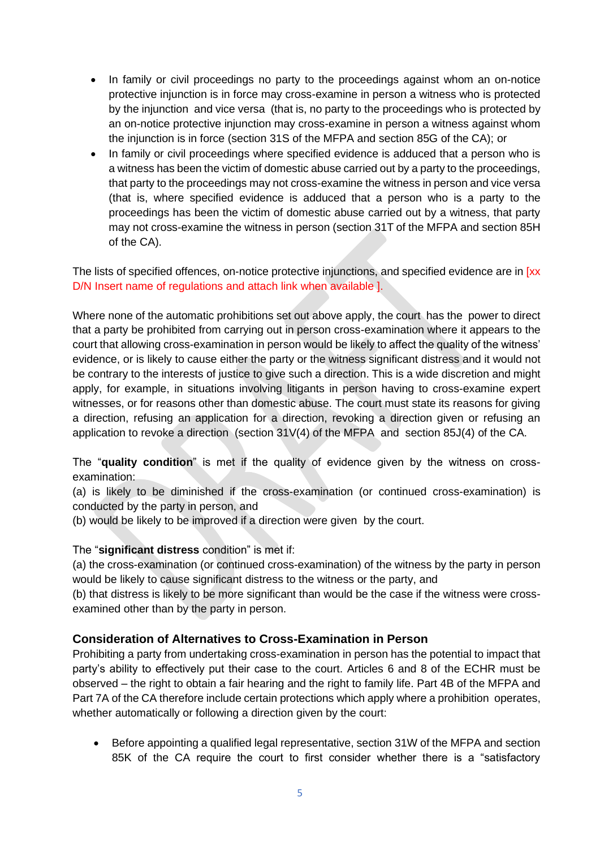- In family or civil proceedings no party to the proceedings against whom an on-notice protective injunction is in force may cross-examine in person a witness who is protected by the injunction and vice versa (that is, no party to the proceedings who is protected by an on-notice protective injunction may cross-examine in person a witness against whom the injunction is in force (section 31S of the MFPA and section 85G of the CA); or
- In family or civil proceedings where specified evidence is adduced that a person who is a witness has been the victim of domestic abuse carried out by a party to the proceedings, that party to the proceedings may not cross-examine the witness in person and vice versa (that is, where specified evidence is adduced that a person who is a party to the proceedings has been the victim of domestic abuse carried out by a witness, that party may not cross-examine the witness in person (section 31T of the MFPA and section 85H of the CA).

The lists of specified offences, on-notice protective injunctions, and specified evidence are in [xx] D/N Insert name of regulations and attach link when available ].

Where none of the automatic prohibitions set out above apply, the court has the power to direct that a party be prohibited from carrying out in person cross-examination where it appears to the court that allowing cross-examination in person would be likely to affect the quality of the witness' evidence, or is likely to cause either the party or the witness significant distress and it would not be contrary to the interests of justice to give such a direction. This is a wide discretion and might apply, for example, in situations involving litigants in person having to cross-examine expert witnesses, or for reasons other than domestic abuse. The court must state its reasons for giving a direction, refusing an application for a direction, revoking a direction given or refusing an application to revoke a direction (section 31V(4) of the MFPA and section 85J(4) of the CA.

The "**quality condition**" is met if the quality of evidence given by the witness on crossexamination:

(a) is likely to be diminished if the cross-examination (or continued cross-examination) is conducted by the party in person, and

(b) would be likely to be improved if a direction were given by the court.

#### The "**significant distress** condition" is met if:

(a) the cross-examination (or continued cross-examination) of the witness by the party in person would be likely to cause significant distress to the witness or the party, and

(b) that distress is likely to be more significant than would be the case if the witness were crossexamined other than by the party in person.

#### **Consideration of Alternatives to Cross-Examination in Person**

Prohibiting a party from undertaking cross-examination in person has the potential to impact that party's ability to effectively put their case to the court. Articles 6 and 8 of the ECHR must be observed – the right to obtain a fair hearing and the right to family life. Part 4B of the MFPA and Part 7A of the CA therefore include certain protections which apply where a prohibition operates, whether automatically or following a direction given by the court:

• Before appointing a qualified legal representative, section 31W of the MFPA and section 85K of the CA require the court to first consider whether there is a "satisfactory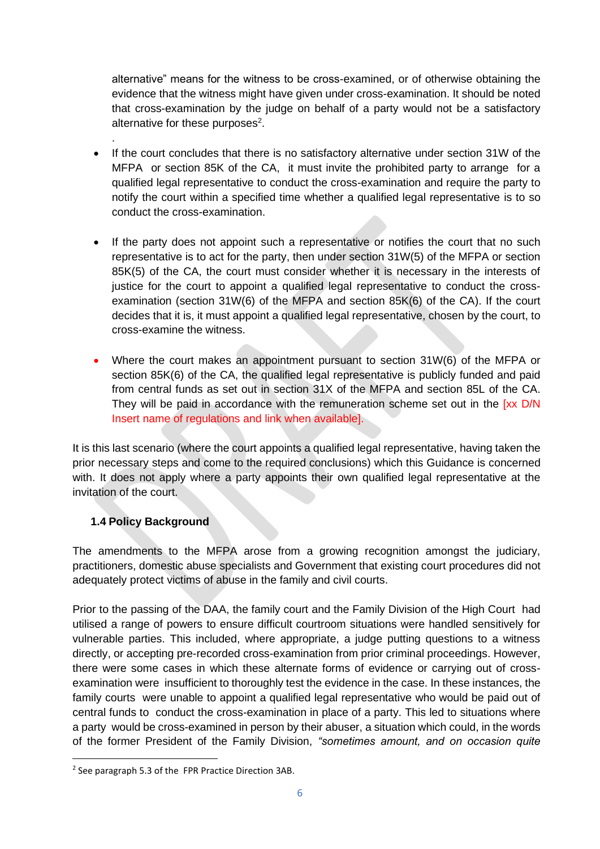alternative" means for the witness to be cross-examined, or of otherwise obtaining the evidence that the witness might have given under cross-examination. It should be noted that cross-examination by the judge on behalf of a party would not be a satisfactory alternative for these purposes $2$ .

- If the court concludes that there is no satisfactory alternative under section 31W of the MFPA or section 85K of the CA, it must invite the prohibited party to arrange for a qualified legal representative to conduct the cross-examination and require the party to notify the court within a specified time whether a qualified legal representative is to so conduct the cross-examination.
- If the party does not appoint such a representative or notifies the court that no such representative is to act for the party, then under section 31W(5) of the MFPA or section 85K(5) of the CA, the court must consider whether it is necessary in the interests of justice for the court to appoint a qualified legal representative to conduct the crossexamination (section 31W(6) of the MFPA and section 85K(6) of the CA). If the court decides that it is, it must appoint a qualified legal representative, chosen by the court, to cross-examine the witness.
- Where the court makes an appointment pursuant to section 31W(6) of the MFPA or section 85K(6) of the CA, the qualified legal representative is publicly funded and paid from central funds as set out in section 31X of the MFPA and section 85L of the CA. They will be paid in accordance with the remuneration scheme set out in the  $[xx D/N]$ Insert name of regulations and link when available].

It is this last scenario (where the court appoints a qualified legal representative, having taken the prior necessary steps and come to the required conclusions) which this Guidance is concerned with. It does not apply where a party appoints their own qualified legal representative at the invitation of the court.

### **1.4 Policy Background**

.

The amendments to the MFPA arose from a growing recognition amongst the judiciary, practitioners, domestic abuse specialists and Government that existing court procedures did not adequately protect victims of abuse in the family and civil courts.

Prior to the passing of the DAA, the family court and the Family Division of the High Court had utilised a range of powers to ensure difficult courtroom situations were handled sensitively for vulnerable parties. This included, where appropriate, a judge putting questions to a witness directly, or accepting pre-recorded cross-examination from prior criminal proceedings. However, there were some cases in which these alternate forms of evidence or carrying out of crossexamination were insufficient to thoroughly test the evidence in the case. In these instances, the family courts were unable to appoint a qualified legal representative who would be paid out of central funds to conduct the cross-examination in place of a party. This led to situations where a party would be cross-examined in person by their abuser, a situation which could, in the words of the former President of the Family Division, *"sometimes amount, and on occasion quite* 

<sup>&</sup>lt;sup>2</sup> See paragraph 5.3 of the FPR Practice Direction 3AB.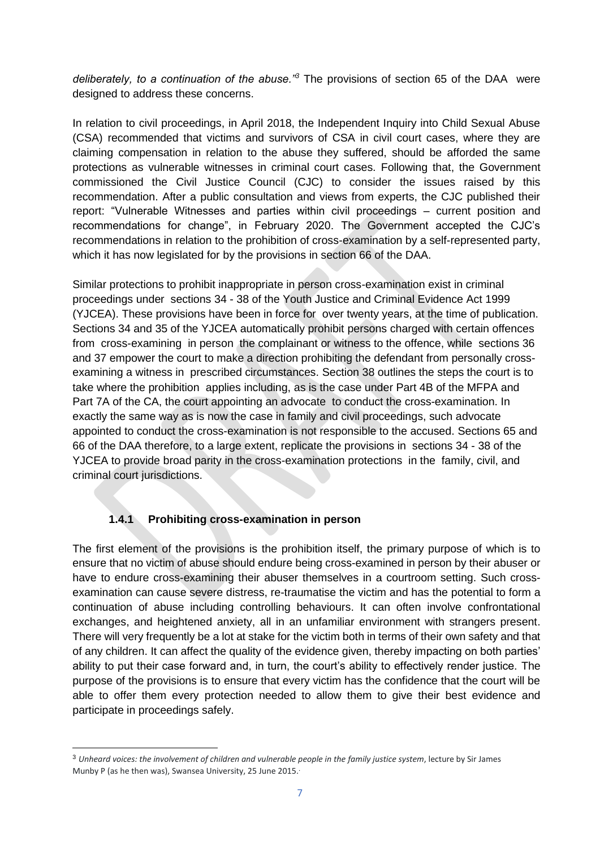*deliberately, to a continuation of the abuse."<sup>3</sup>* The provisions of section 65 of the DAA were designed to address these concerns.

In relation to civil proceedings, in April 2018, the Independent Inquiry into Child Sexual Abuse (CSA) recommended that victims and survivors of CSA in civil court cases, where they are claiming compensation in relation to the abuse they suffered, should be afforded the same protections as vulnerable witnesses in criminal court cases. Following that, the Government commissioned the Civil Justice Council (CJC) to consider the issues raised by this recommendation. After a public consultation and views from experts, the CJC published their report: "Vulnerable Witnesses and parties within civil proceedings – current position and recommendations for change", in February 2020. The Government accepted the CJC's recommendations in relation to the prohibition of cross-examination by a self-represented party, which it has now legislated for by the provisions in section 66 of the DAA.

Similar protections to prohibit inappropriate in person cross-examination exist in criminal proceedings under sections 34 - 38 of the Youth Justice and Criminal Evidence Act 1999 (YJCEA). These provisions have been in force for over twenty years, at the time of publication. Sections 34 and 35 of the YJCEA automatically prohibit persons charged with certain offences from cross-examining in person the complainant or witness to the offence, while sections 36 and 37 empower the court to make a direction prohibiting the defendant from personally crossexamining a witness in prescribed circumstances. Section 38 outlines the steps the court is to take where the prohibition applies including, as is the case under Part 4B of the MFPA and Part 7A of the CA, the court appointing an advocate to conduct the cross-examination. In exactly the same way as is now the case in family and civil proceedings, such advocate appointed to conduct the cross-examination is not responsible to the accused. Sections 65 and 66 of the DAA therefore, to a large extent, replicate the provisions in sections 34 - 38 of the YJCEA to provide broad parity in the cross-examination protections in the family, civil, and criminal court jurisdictions.

### **1.4.1 Prohibiting cross-examination in person**

The first element of the provisions is the prohibition itself, the primary purpose of which is to ensure that no victim of abuse should endure being cross-examined in person by their abuser or have to endure cross-examining their abuser themselves in a courtroom setting. Such crossexamination can cause severe distress, re-traumatise the victim and has the potential to form a continuation of abuse including controlling behaviours. It can often involve confrontational exchanges, and heightened anxiety, all in an unfamiliar environment with strangers present. There will very frequently be a lot at stake for the victim both in terms of their own safety and that of any children. It can affect the quality of the evidence given, thereby impacting on both parties' ability to put their case forward and, in turn, the court's ability to effectively render justice. The purpose of the provisions is to ensure that every victim has the confidence that the court will be able to offer them every protection needed to allow them to give their best evidence and participate in proceedings safely.

<sup>3</sup> *Unheard voices: the involvement of children and vulnerable people in the family justice system*, lecture by Sir James Munby P (as he then was), Swansea University, 25 June 2015. .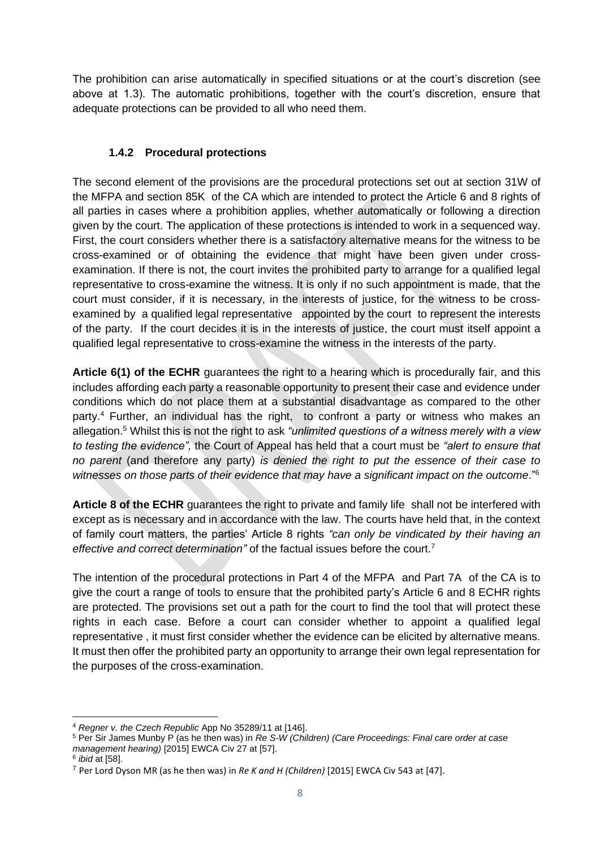The prohibition can arise automatically in specified situations or at the court's discretion (see above at 1.3). The automatic prohibitions, together with the court's discretion, ensure that adequate protections can be provided to all who need them.

# **1.4.2 Procedural protections**

The second element of the provisions are the procedural protections set out at section 31W of the MFPA and section 85K of the CA which are intended to protect the Article 6 and 8 rights of all parties in cases where a prohibition applies, whether automatically or following a direction given by the court. The application of these protections is intended to work in a sequenced way. First, the court considers whether there is a satisfactory alternative means for the witness to be cross-examined or of obtaining the evidence that might have been given under crossexamination. If there is not, the court invites the prohibited party to arrange for a qualified legal representative to cross-examine the witness. It is only if no such appointment is made, that the court must consider, if it is necessary, in the interests of justice, for the witness to be crossexamined by a qualified legal representative appointed by the court to represent the interests of the party. If the court decides it is in the interests of justice, the court must itself appoint a qualified legal representative to cross-examine the witness in the interests of the party.

**Article 6(1) of the ECHR** guarantees the right to a hearing which is procedurally fair, and this includes affording each party a reasonable opportunity to present their case and evidence under conditions which do not place them at a substantial disadvantage as compared to the other party.<sup>4</sup> Further, an individual has the right, to confront a party or witness who makes an allegation.<sup>5</sup> Whilst this is not the right to ask *"unlimited questions of a witness merely with a view to testing the evidence",* the Court of Appeal has held that a court must be *"alert to ensure that no parent* (and therefore any party) *is denied the right to put the essence of their case to witnesses on those parts of their evidence that may have a significant impact on the outcome*."<sup>6</sup>

**Article 8 of the ECHR** guarantees the right to private and family life shall not be interfered with except as is necessary and in accordance with the law. The courts have held that, in the context of family court matters, the parties' Article 8 rights *"can only be vindicated by their having an effective and correct determination"* of the factual issues before the court.<sup>7</sup>

The intention of the procedural protections in Part 4 of the MFPA and Part 7A of the CA is to give the court a range of tools to ensure that the prohibited party's Article 6 and 8 ECHR rights are protected. The provisions set out a path for the court to find the tool that will protect these rights in each case. Before a court can consider whether to appoint a qualified legal representative , it must first consider whether the evidence can be elicited by alternative means. It must then offer the prohibited party an opportunity to arrange their own legal representation for the purposes of the cross-examination.

<sup>4</sup> *Regner v. the Czech Republic* App No 35289/11 at [146].

<sup>5</sup> Per Sir James Munby P (as he then was) in *Re S-W (Children) (Care Proceedings: Final care order at case management hearing)* [2015] EWCA Civ 27 at [57].

<sup>6</sup> *ibid* at [58].

<sup>7</sup> Per Lord Dyson MR (as he then was) in *Re K and H (Children)* [2015] EWCA Civ 543 at [47].